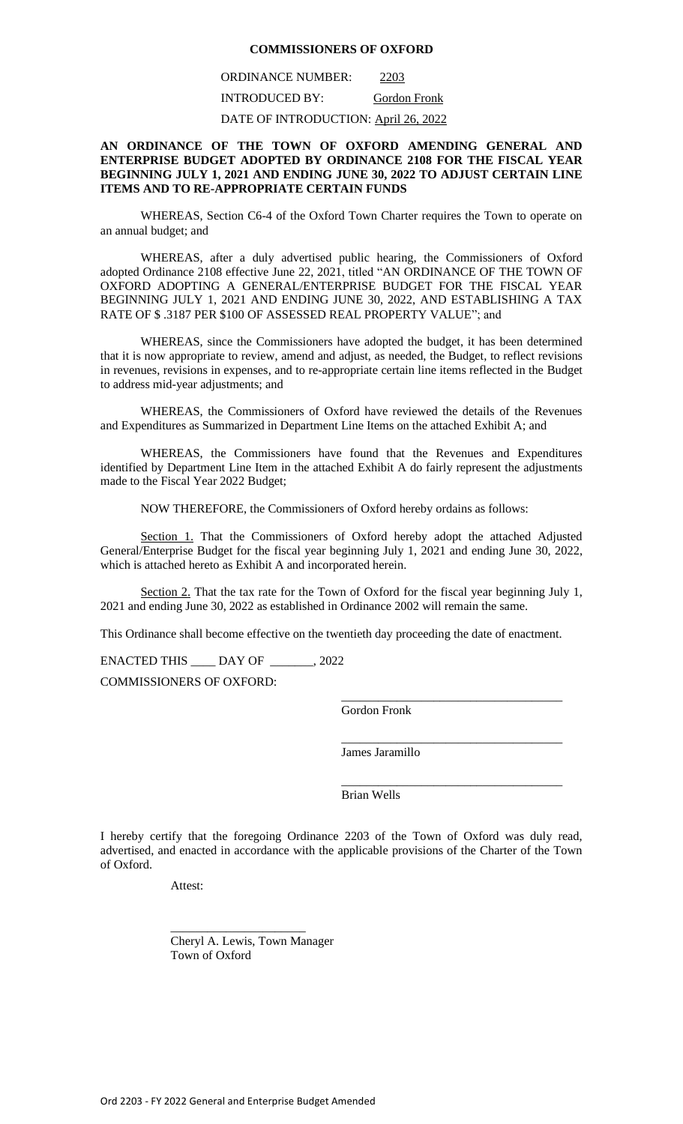#### **COMMISSIONERS OF OXFORD**

ORDINANCE NUMBER: 2203 INTRODUCED BY: Gordon Fronk DATE OF INTRODUCTION: April 26, 2022

### **AN ORDINANCE OF THE TOWN OF OXFORD AMENDING GENERAL AND ENTERPRISE BUDGET ADOPTED BY ORDINANCE 2108 FOR THE FISCAL YEAR BEGINNING JULY 1, 2021 AND ENDING JUNE 30, 2022 TO ADJUST CERTAIN LINE ITEMS AND TO RE-APPROPRIATE CERTAIN FUNDS**

WHEREAS, Section C6-4 of the Oxford Town Charter requires the Town to operate on an annual budget; and

WHEREAS, after a duly advertised public hearing, the Commissioners of Oxford adopted Ordinance 2108 effective June 22, 2021, titled "AN ORDINANCE OF THE TOWN OF OXFORD ADOPTING A GENERAL/ENTERPRISE BUDGET FOR THE FISCAL YEAR BEGINNING JULY 1, 2021 AND ENDING JUNE 30, 2022, AND ESTABLISHING A TAX RATE OF \$ .3187 PER \$100 OF ASSESSED REAL PROPERTY VALUE"; and

WHEREAS, since the Commissioners have adopted the budget, it has been determined that it is now appropriate to review, amend and adjust, as needed, the Budget, to reflect revisions in revenues, revisions in expenses, and to re-appropriate certain line items reflected in the Budget to address mid-year adjustments; and

WHEREAS, the Commissioners of Oxford have reviewed the details of the Revenues and Expenditures as Summarized in Department Line Items on the attached Exhibit A; and

WHEREAS, the Commissioners have found that the Revenues and Expenditures identified by Department Line Item in the attached Exhibit A do fairly represent the adjustments made to the Fiscal Year 2022 Budget;

NOW THEREFORE, the Commissioners of Oxford hereby ordains as follows:

Section 1. That the Commissioners of Oxford hereby adopt the attached Adjusted General/Enterprise Budget for the fiscal year beginning July 1, 2021 and ending June 30, 2022, which is attached hereto as Exhibit A and incorporated herein.

Section 2. That the tax rate for the Town of Oxford for the fiscal year beginning July 1, 2021 and ending June 30, 2022 as established in Ordinance 2002 will remain the same.

This Ordinance shall become effective on the twentieth day proceeding the date of enactment.

ENACTED THIS \_\_\_\_ DAY OF \_\_\_\_\_\_\_, 2022 COMMISSIONERS OF OXFORD:

Gordon Fronk

\_\_\_\_\_\_\_\_\_\_\_\_\_\_\_\_\_\_\_\_\_\_\_\_\_\_\_\_\_\_\_\_\_\_\_\_

\_\_\_\_\_\_\_\_\_\_\_\_\_\_\_\_\_\_\_\_\_\_\_\_\_\_\_\_\_\_\_\_\_\_\_\_

\_\_\_\_\_\_\_\_\_\_\_\_\_\_\_\_\_\_\_\_\_\_\_\_\_\_\_\_\_\_\_\_\_\_\_\_

James Jaramillo

Brian Wells

I hereby certify that the foregoing Ordinance 2203 of the Town of Oxford was duly read, advertised, and enacted in accordance with the applicable provisions of the Charter of the Town of Oxford.

Attest:

Cheryl A. Lewis, Town Manager Town of Oxford

\_\_\_\_\_\_\_\_\_\_\_\_\_\_\_\_\_\_\_\_\_\_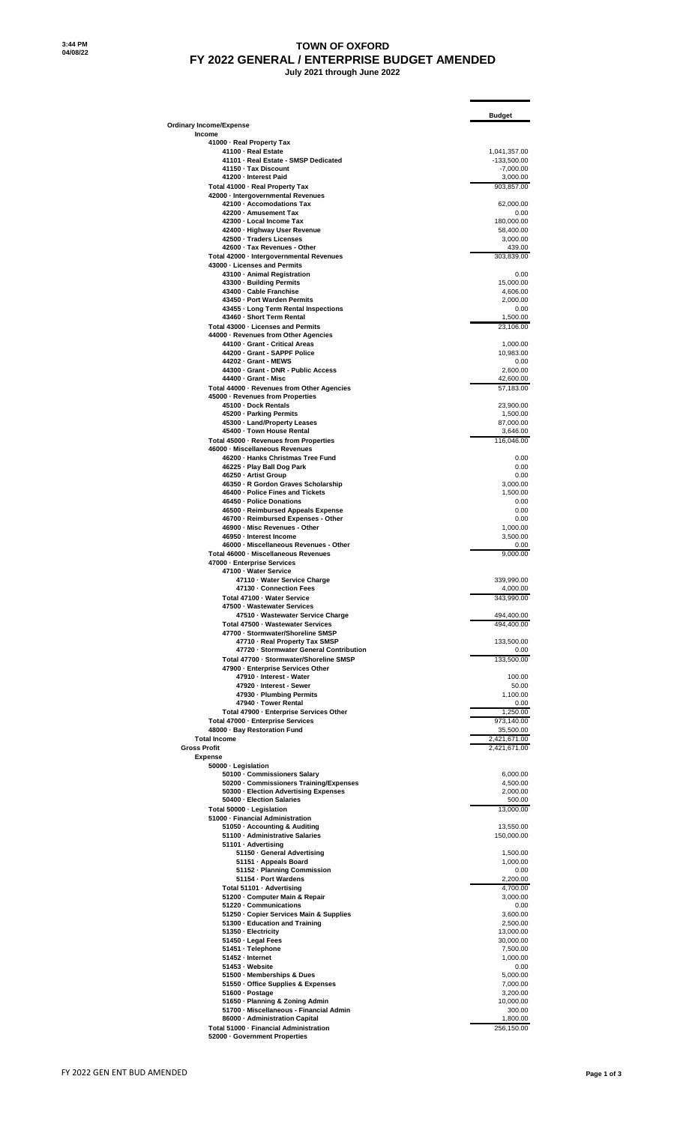#### **TOWN OF OXFORD FY 2022 GENERAL / ENTERPRISE BUDGET AMENDED July 2021 through June 2022**

**Budget Ordinary Income/Expense Income 41000 · Real Property Tax 41100 · Real Estate** 1,041,357.00 **41101 · Real Estate - SMSP Dedicated** -133,500.00 **41150 · Tax Discount** -7,000.00 **41200 · Interest Paid** 3,000.00 **Total 41000 · Real Property Tax** 903,857.00 **42000 · Intergovernmental Revenues 42100 · Accomodations Tax** 62,000.00 **42200 · Amusement Tax** 0.00 **42300 · Local Income Tax** 180,000.00 **42400 · Highway User Revenue** 58,400.00 **42500 · Traders Licenses** 3,000.00 **42600 · Tax Revenues - Other** 439.00 **Total 42000 · Intergovernmental Revenues** 303,839.00 **43000 · Licenses and Permits 43100 · Animal Registration** 0.00 **43300 · Building Permits** 15,000.00 **43400 · Cable Franchise** 4,606.00 **43450 · Port Warden Permits** 2,000.00 **43455 · Long Term Rental Inspections** 0.00 **43460 · Short Term Rental** 1,500.00 **Total 43000 · Licenses and Permits** 23,106.00 **44000 · Revenues from Other Agencies 44100 · Grant - Critical Areas** 1,000.00 **44200 · Grant - SAPPF Police** 10,983.00 **44202 · Grant - MEWS** 0.00 **44300 · Grant - DNR - Public Access** 2,600.00 **44400 · Grant - Misc** 42,600.00 Total 44000 · Revenues from Other Agencies **57,183.00 45000 · Revenues from Properties 45100 · Dock Rentals** 23,900.00 **45200 · Parking Permits** 1,500.00 **45300 · Land/Property Leases** 87,000.00 **45400 · Town House Rental** 3,646.00 **Total 45000 · Revenues from Properties** 116,046.00 **46000 · Miscellaneous Revenues 46200 · Hanks Christmas Tree Fund** 0.00 **· Hanks Christmas Tree Fund** 0.00 **· Hanks Christmas Tree Fund** 0.00 **· 168200 · Hanks Christmas Tree Fund 46225 · Play Ball Dog Park** 0.00 **46250 · Artist Group** 0.00 **46350 · R Gordon Graves Scholarship** 3,000.00 **46400 · Police Fines and Tickets** 1,500.00 **46450 · Police Donations** 0.00 **46500 · Reimbursed Appeals Expense** 0.00 **46700 · Reimbursed Expenses - Other** 0.00 **46900 · Misc Revenues - Other** 1,000.00 **46950 · Interest Income** 3,500.00 **46000 · Miscellaneous Revenues - Other** 0.00 **Total 46000 · Miscellaneous Revenues** 9,000.00 **47000 · Enterprise Services 47100 · Water Service 47110 · Water Service Charge** 339,990.00 **47130 · Connection Fees** 4,000.00 **Total 47100 · Water Service** 343,990.00 **47500 · Wastewater Services 47510 · Wastewater Service Charge** 494,400.00 **Total 47500 · Wastewater Services** 494,400.00 **47700 · Stormwater/Shoreline SMSP 47710 · Real Property Tax SMSP** 133,500.00 **47720 · Stormwater General Contribution** 0.00 **Total 47700 · Stormwater/Shoreline SMSP** 133,500.00 **47900 · Enterprise Services Other 47910 · Interest - Water** 100.00<br>**47920 · Interest - Sewer** 50.00 **47920 · Interest - Sewer** 50.00 **47930 · Plumbing Permits** 1,100.00 **47940 · Tower Rental** 0.00 Total 47900 · Enterprise Services Other **1,250.00 Total 47000 · Enterprise Services** 973,140.00 **48000 · Bay Restoration Fund** 35,500.00 **Total Income** 2,421,671.00 **Gross Profit** 2,421,671.00 **Expense 50000 · Legislation 50100 · Commissioners Salary** 6,000.00 **50200 · Commissioners Training/Expenses** 4,500.00 **50300 · Election Advertising Expenses** 2,000.00 **50400 · Election Salaries** 500.00 **Total 50000 · Legislation** 13,000.00 **51000 · Financial Administration 51050 · Accounting & Auditing** 13,550.00 **51100 · Administrative Salaries** 150,000.00 **51101 · Advertising 51150 · General Advertising 51150 · General Advertising 51151 · Appeals Board 51151 · Appeals Board 51151 · Appeals Board 51154 · Planning Commission 6.000.00<br><b>51151 · Planning Commission 51154 · Port Total 51101 · Advertising** 4,700.00 **51200 · Computer Main & Repair** 3,000.00 **51220 · Communications** 0.00 **51250 · Copier Services Main & Supplies** 3,600.00 **51300 · Education and Training**  $\frac{1}{2,500.00}$  **<b>2**,500.00<br>**51350 · Electricity** 13,000.00 **51350 · Electricity** 13,000.00 **51450 · Legal Fees** 30,000.00 **51451 · Telephone** 7,500.00 **51452 · Internet** 1,000.00 **51453 · Website** 0.00 **51500 · Memberships & Dues** 5,000.00 **51550 · Office Supplies & Expenses** 7,000.00<br> **51550 · Office Supplies & Expenses** 3,200.00<br> **51650 · Planning & Zoning Admin** 10,000.00 **51600 · Postage** 3,200.00 **51650 · Planning & Zoning Admin** 10,000.00 **51700 · Miscellaneous - Financial Admin** 300.00 **86000 · Administration Capital** 1,800.00 **Total 51000 · Financial Administration** 256,150.00

**52000 · Government Properties**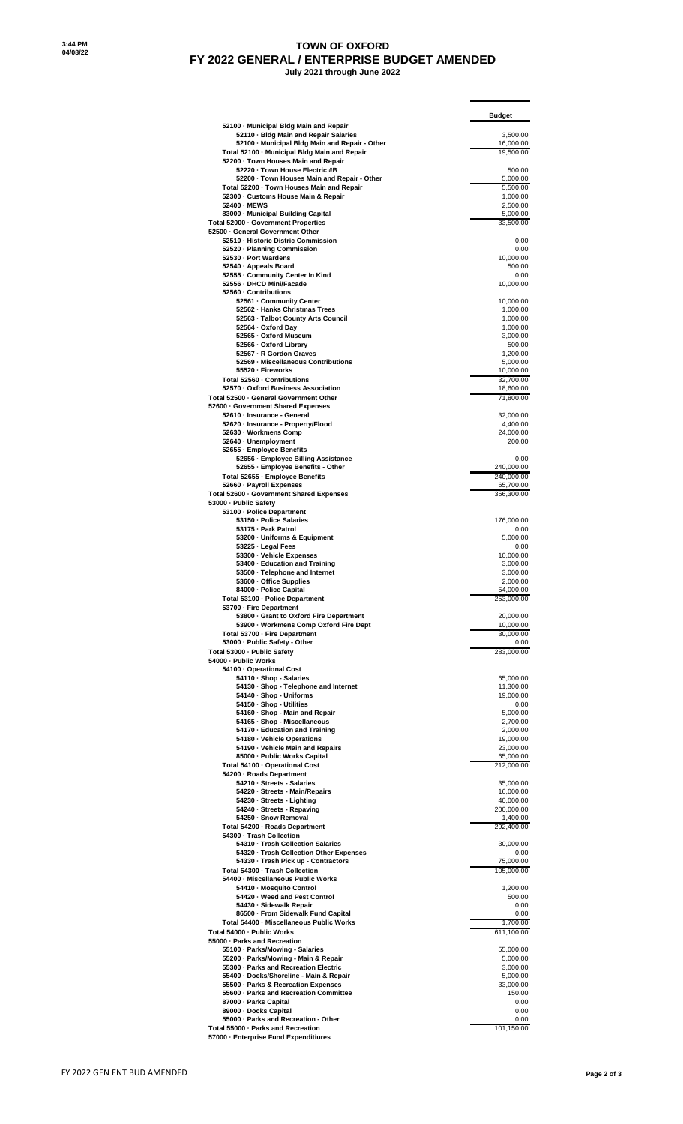## **TOWN OF OXFORD FY 2022 GENERAL / ENTERPRISE BUDGET AMENDED**

 **July 2021 through June 2022**

|                                                                                          | <b>Budget</b>            |
|------------------------------------------------------------------------------------------|--------------------------|
| 52100 - Municipal Bldg Main and Repair<br>52110 · Bldg Main and Repair Salaries          | 3,500.00                 |
| 52100 - Municipal Bldg Main and Repair - Other                                           | 16,000.00                |
| Total 52100 - Municipal Bldg Main and Repair<br>52200 - Town Houses Main and Repair      | 19,500.00                |
| 52220 · Town House Electric #B                                                           | 500.00                   |
| 52200 · Town Houses Main and Repair - Other<br>Total 52200 - Town Houses Main and Repair | 5,000.00<br>5,500.00     |
| 52300 · Customs House Main & Repair                                                      | 1,000.00                 |
| 52400 - MEWS                                                                             | 2,500.00                 |
| 83000 - Municipal Building Capital<br>Total 52000 - Government Properties                | 5,000.00<br>33,500.00    |
| 52500 · General Government Other                                                         |                          |
| 52510 - Historic Distric Commission<br>52520 - Planning Commission                       | 0.00<br>0.00             |
| 52530 - Port Wardens                                                                     | 10,000.00                |
| 52540 · Appeals Board                                                                    | 500.00                   |
| 52555 - Community Center In Kind<br>52556 · DHCD Mini/Facade                             | 0.00<br>10,000.00        |
| 52560 - Contributions                                                                    |                          |
| 52561 - Community Center<br>52562 · Hanks Christmas Trees                                | 10,000.00<br>1,000.00    |
| 52563 - Talbot County Arts Council                                                       | 1,000.00                 |
| 52564 · Oxford Dav                                                                       | 1,000.00                 |
| 52565 - Oxford Museum<br>52566 - Oxford Library                                          | 3.000.00<br>500.00       |
| 52567 - R Gordon Graves                                                                  | 1,200.00                 |
| 52569 - Miscellaneous Contributions                                                      | 5,000.00                 |
| 55520 - Fireworks<br>Total 52560 - Contributions                                         | 10,000.00<br>32,700.00   |
| 52570 · Oxford Business Association                                                      | 18,600.00                |
| Total 52500 - General Government Other                                                   | 71,800.00                |
| 52600 Government Shared Expenses<br>52610 · Insurance - General                          | 32,000.00                |
| 52620 · Insurance - Property/Flood                                                       | 4,400.00                 |
| 52630 · Workmens Comp<br>52640 · Unemployment                                            | 24,000.00<br>200.00      |
| 52655 - Employee Benefits                                                                |                          |
| 52656 - Employee Billing Assistance                                                      | 0.00                     |
| 52655 · Employee Benefits - Other<br>Total 52655 - Employee Benefits                     | 240,000.00<br>240,000.00 |
| 52660 · Payroll Expenses                                                                 | 65,700.00                |
| Total 52600 - Government Shared Expenses                                                 | 366,300.00               |
| 53000 - Public Safety<br>53100 - Police Department                                       |                          |
| 53150 - Police Salaries                                                                  | 176,000.00               |
| 53175 - Park Patrol                                                                      | 0.00                     |
| 53200 · Uniforms & Equipment<br>53225 - Legal Fees                                       | 5,000.00<br>0.00         |
| 53300 · Vehicle Expenses                                                                 | 10,000.00                |
| 53400 · Education and Training                                                           | 3,000.00                 |
| 53500 - Telephone and Internet<br>53600 · Office Supplies                                | 3,000.00<br>2,000.00     |
| 84000 - Police Capital                                                                   | 54,000.00                |
| Total 53100 - Police Department<br>53700 - Fire Department                               | 253,000.00               |
| 53800 · Grant to Oxford Fire Department                                                  | 20,000.00                |
| 53900 · Workmens Comp Oxford Fire Dept                                                   | 10,000.00                |
| Total 53700 - Fire Department<br>53000 - Public Safety - Other                           | 30,000.00<br>0.00        |
| Total 53000 - Public Safety                                                              | 283,000.00               |
| 54000 - Public Works                                                                     |                          |
| 54100 · Operational Cost<br>54110 · Shop - Salaries                                      | 65,000.00                |
| 54130 · Shop - Telephone and Internet                                                    | 11,300.00                |
| 54140 · Shop - Uniforms<br>54150 · Shop - Utilities                                      | 19,000.00<br>0.00        |
| 54160 · Shop - Main and Repair                                                           | 5,000.00                 |
| 54165 · Shop - Miscellaneous                                                             | 2,700.00                 |
| 54170 · Education and Training<br>54180 · Vehicle Operations                             | 2,000.00<br>19,000.00    |
| 54190 · Vehicle Main and Repairs                                                         | 23,000.00                |
| 85000 - Public Works Capital                                                             | 65,000.00                |
| Total 54100 · Operational Cost<br>54200 · Roads Department                               | 212,000.00               |
| 54210 · Streets - Salaries                                                               | 35,000.00                |
| 54220 · Streets - Main/Repairs                                                           | 16,000.00                |
| 54230 · Streets - Lighting<br>54240 · Streets - Repaving                                 | 40,000.00<br>200,000.00  |
| 54250 · Snow Removal                                                                     | 1,400.00                 |
| Total 54200 - Roads Department                                                           | 292,400.00               |
| 54300 - Trash Collection<br>54310 - Trash Collection Salaries                            | 30,000.00                |
| 54320 · Trash Collection Other Expenses                                                  | 0.00                     |
| 54330 · Trash Pick up - Contractors<br>Total 54300 · Trash Collection                    | 75,000.00                |
| 54400 · Miscellaneous Public Works                                                       | 105,000.00               |
| 54410 - Mosquito Control                                                                 | 1,200.00                 |
| 54420 · Weed and Pest Control                                                            | 500.00                   |
| 54430 - Sidewalk Repair<br>86500 - From Sidewalk Fund Capital                            | 0.00<br>0.00             |
| Total 54400 - Miscellaneous Public Works                                                 | 1,700.00                 |
| Total 54000 · Public Works                                                               | 611,100.00               |
| 55000 · Parks and Recreation<br>55100 · Parks/Mowing - Salaries                          | 55,000.00                |
| 55200 · Parks/Mowing - Main & Repair                                                     | 5,000.00                 |
| 55300 · Parks and Recreation Electric                                                    | 3,000.00                 |
| 55400 · Docks/Shoreline - Main & Repair<br>55500 · Parks & Recreation Expenses           | 5,000.00<br>33,000.00    |
| 55600 · Parks and Recreation Committee                                                   | 150.00                   |
| 87000 · Parks Capital                                                                    | 0.00                     |
| 89000 - Docks Capital<br>55000 · Parks and Recreation - Other                            | 0.00<br>0.00             |
| Total 55000 - Parks and Recreation                                                       | 101,150.00               |
| 57000 - Enterprise Fund Expenditiures                                                    |                          |